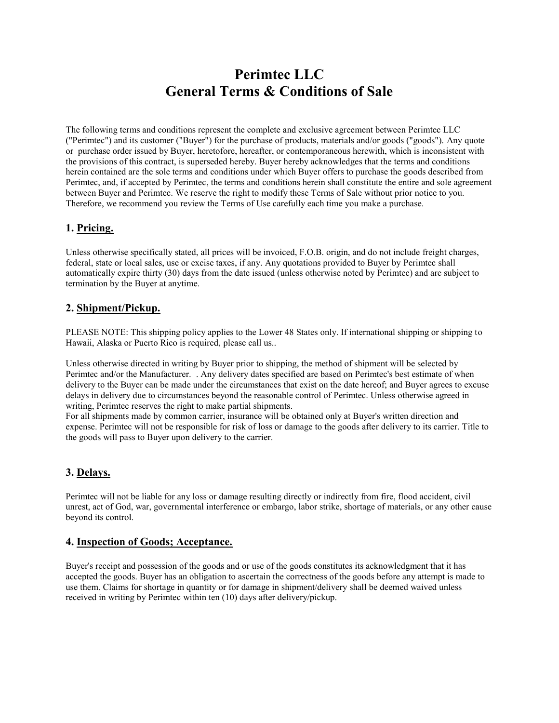# **Perimtec LLC General Terms & Conditions of Sale**

The following terms and conditions represent the complete and exclusive agreement between Perimtec LLC ("Perimtec") and its customer ("Buyer") for the purchase of products, materials and/or goods ("goods"). Any quote or purchase order issued by Buyer, heretofore, hereafter, or contemporaneous herewith, which is inconsistent with the provisions of this contract, is superseded hereby. Buyer hereby acknowledges that the terms and conditions herein contained are the sole terms and conditions under which Buyer offers to purchase the goods described from Perimtec, and, if accepted by Perimtec, the terms and conditions herein shall constitute the entire and sole agreement between Buyer and Perimtec. We reserve the right to modify these Terms of Sale without prior notice to you. Therefore, we recommend you review the Terms of Use carefully each time you make a purchase.

## **1. Pricing.**

Unless otherwise specifically stated, all prices will be invoiced, F.O.B. origin, and do not include freight charges, federal, state or local sales, use or excise taxes, if any. Any quotations provided to Buyer by Perimtec shall automatically expire thirty (30) days from the date issued (unless otherwise noted by Perimtec) and are subject to termination by the Buyer at anytime.

#### **2. Shipment/Pickup.**

PLEASE NOTE: This shipping policy applies to the Lower 48 States only. If international shipping or shipping to Hawaii, Alaska or Puerto Rico is required, please call us..

Unless otherwise directed in writing by Buyer prior to shipping, the method of shipment will be selected by Perimtec and/or the Manufacturer. . Any delivery dates specified are based on Perimtec's best estimate of when delivery to the Buyer can be made under the circumstances that exist on the date hereof; and Buyer agrees to excuse delays in delivery due to circumstances beyond the reasonable control of Perimtec. Unless otherwise agreed in writing, Perimtec reserves the right to make partial shipments.

For all shipments made by common carrier, insurance will be obtained only at Buyer's written direction and expense. Perimtec will not be responsible for risk of loss or damage to the goods after delivery to its carrier. Title to the goods will pass to Buyer upon delivery to the carrier.

# **3. Delays.**

Perimtec will not be liable for any loss or damage resulting directly or indirectly from fire, flood accident, civil unrest, act of God, war, governmental interference or embargo, labor strike, shortage of materials, or any other cause beyond its control.

#### **4. Inspection of Goods; Acceptance.**

Buyer's receipt and possession of the goods and or use of the goods constitutes its acknowledgment that it has accepted the goods. Buyer has an obligation to ascertain the correctness of the goods before any attempt is made to use them. Claims for shortage in quantity or for damage in shipment/delivery shall be deemed waived unless received in writing by Perimtec within ten (10) days after delivery/pickup.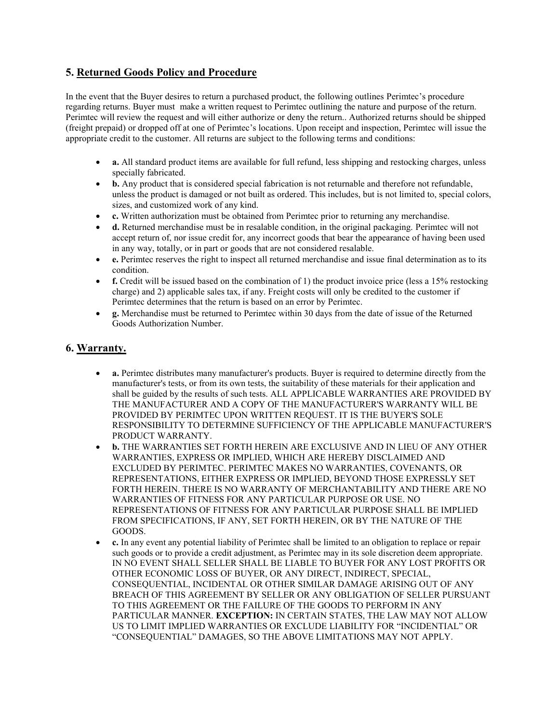# **5. Returned Goods Policy and Procedure**

In the event that the Buyer desires to return a purchased product, the following outlines Perimtec's procedure regarding returns. Buyer must make a written request to Perimtec outlining the nature and purpose of the return. Perimtec will review the request and will either authorize or deny the return.. Authorized returns should be shipped (freight prepaid) or dropped off at one of Perimtec's locations. Upon receipt and inspection, Perimtec will issue the appropriate credit to the customer. All returns are subject to the following terms and conditions:

- **a.** All standard product items are available for full refund, less shipping and restocking charges, unless specially fabricated.
- **b.** Any product that is considered special fabrication is not returnable and therefore not refundable, unless the product is damaged or not built as ordered. This includes, but is not limited to, special colors, sizes, and customized work of any kind.
- **c.** Written authorization must be obtained from Perimtec prior to returning any merchandise.
- **d.** Returned merchandise must be in resalable condition, in the original packaging. Perimtec will not accept return of, nor issue credit for, any incorrect goods that bear the appearance of having been used in any way, totally, or in part or goods that are not considered resalable.
- **e.** Perimtec reserves the right to inspect all returned merchandise and issue final determination as to its condition.
- **f.** Credit will be issued based on the combination of 1) the product invoice price (less a 15% restocking charge) and 2) applicable sales tax, if any. Freight costs will only be credited to the customer if Perimtec determines that the return is based on an error by Perimtec.
- **g.** Merchandise must be returned to Perimtec within 30 days from the date of issue of the Returned Goods Authorization Number.

## **6. Warranty.**

- **a.** Perimtec distributes many manufacturer's products. Buyer is required to determine directly from the manufacturer's tests, or from its own tests, the suitability of these materials for their application and shall be guided by the results of such tests. ALL APPLICABLE WARRANTIES ARE PROVIDED BY THE MANUFACTURER AND A COPY OF THE MANUFACTURER'S WARRANTY WILL BE PROVIDED BY PERIMTEC UPON WRITTEN REQUEST. IT IS THE BUYER'S SOLE RESPONSIBILITY TO DETERMINE SUFFICIENCY OF THE APPLICABLE MANUFACTURER'S PRODUCT WARRANTY.
- **b.** THE WARRANTIES SET FORTH HEREIN ARE EXCLUSIVE AND IN LIEU OF ANY OTHER WARRANTIES, EXPRESS OR IMPLIED, WHICH ARE HEREBY DISCLAIMED AND EXCLUDED BY PERIMTEC. PERIMTEC MAKES NO WARRANTIES, COVENANTS, OR REPRESENTATIONS, EITHER EXPRESS OR IMPLIED, BEYOND THOSE EXPRESSLY SET FORTH HEREIN. THERE IS NO WARRANTY OF MERCHANTABILITY AND THERE ARE NO WARRANTIES OF FITNESS FOR ANY PARTICULAR PURPOSE OR USE. NO REPRESENTATIONS OF FITNESS FOR ANY PARTICULAR PURPOSE SHALL BE IMPLIED FROM SPECIFICATIONS, IF ANY, SET FORTH HEREIN, OR BY THE NATURE OF THE GOODS.
- **c.** In any event any potential liability of Perimtec shall be limited to an obligation to replace or repair such goods or to provide a credit adjustment, as Perimtec may in its sole discretion deem appropriate. IN NO EVENT SHALL SELLER SHALL BE LIABLE TO BUYER FOR ANY LOST PROFITS OR OTHER ECONOMIC LOSS OF BUYER, OR ANY DIRECT, INDIRECT, SPECIAL, CONSEQUENTIAL, INCIDENTAL OR OTHER SIMILAR DAMAGE ARISING OUT OF ANY BREACH OF THIS AGREEMENT BY SELLER OR ANY OBLIGATION OF SELLER PURSUANT TO THIS AGREEMENT OR THE FAILURE OF THE GOODS TO PERFORM IN ANY PARTICULAR MANNER. **EXCEPTION:** IN CERTAIN STATES, THE LAW MAY NOT ALLOW US TO LIMIT IMPLIED WARRANTIES OR EXCLUDE LIABILITY FOR "INCIDENTIAL" OR "CONSEQUENTIAL" DAMAGES, SO THE ABOVE LIMITATIONS MAY NOT APPLY.